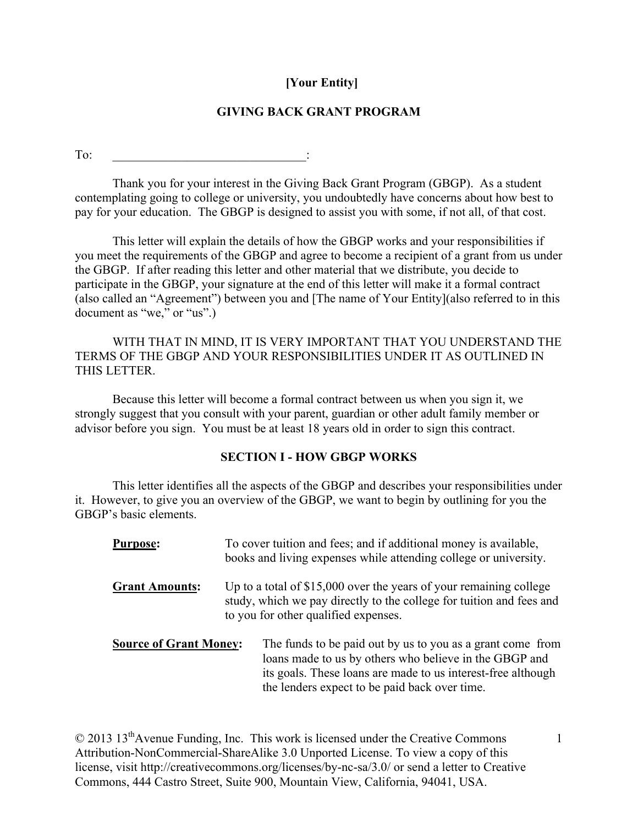# **[Your Entity]**

# **GIVING BACK GRANT PROGRAM**

To:  $\qquad \qquad \qquad \qquad$ 

Thank you for your interest in the Giving Back Grant Program (GBGP). As a student contemplating going to college or university, you undoubtedly have concerns about how best to pay for your education. The GBGP is designed to assist you with some, if not all, of that cost.

This letter will explain the details of how the GBGP works and your responsibilities if you meet the requirements of the GBGP and agree to become a recipient of a grant from us under the GBGP. If after reading this letter and other material that we distribute, you decide to participate in the GBGP, your signature at the end of this letter will make it a formal contract (also called an "Agreement") between you and [The name of Your Entity](also referred to in this document as "we," or "us".)

WITH THAT IN MIND, IT IS VERY IMPORTANT THAT YOU UNDERSTAND THE TERMS OF THE GBGP AND YOUR RESPONSIBILITIES UNDER IT AS OUTLINED IN THIS LETTER.

Because this letter will become a formal contract between us when you sign it, we strongly suggest that you consult with your parent, guardian or other adult family member or advisor before you sign. You must be at least 18 years old in order to sign this contract.

## **SECTION I - HOW GBGP WORKS**

This letter identifies all the aspects of the GBGP and describes your responsibilities under it. However, to give you an overview of the GBGP, we want to begin by outlining for you the GBGP's basic elements.

| <b>Purpose:</b>               | To cover tuition and fees; and if additional money is available,<br>books and living expenses while attending college or university.                                                                                                  |  |
|-------------------------------|---------------------------------------------------------------------------------------------------------------------------------------------------------------------------------------------------------------------------------------|--|
| <b>Grant Amounts:</b>         | Up to a total of $$15,000$ over the years of your remaining college<br>study, which we pay directly to the college for tuition and fees and<br>to you for other qualified expenses.                                                   |  |
| <b>Source of Grant Money:</b> | The funds to be paid out by us to you as a grant come from<br>loans made to us by others who believe in the GBGP and<br>its goals. These loans are made to us interest-free although<br>the lenders expect to be paid back over time. |  |

© 2013 13thAvenue Funding, Inc. This work is licensed under the Creative Commons Attribution-NonCommercial-ShareAlike 3.0 Unported License. To view a copy of this license, visit http://creativecommons.org/licenses/by-nc-sa/3.0/ or send a letter to Creative Commons, 444 Castro Street, Suite 900, Mountain View, California, 94041, USA.

1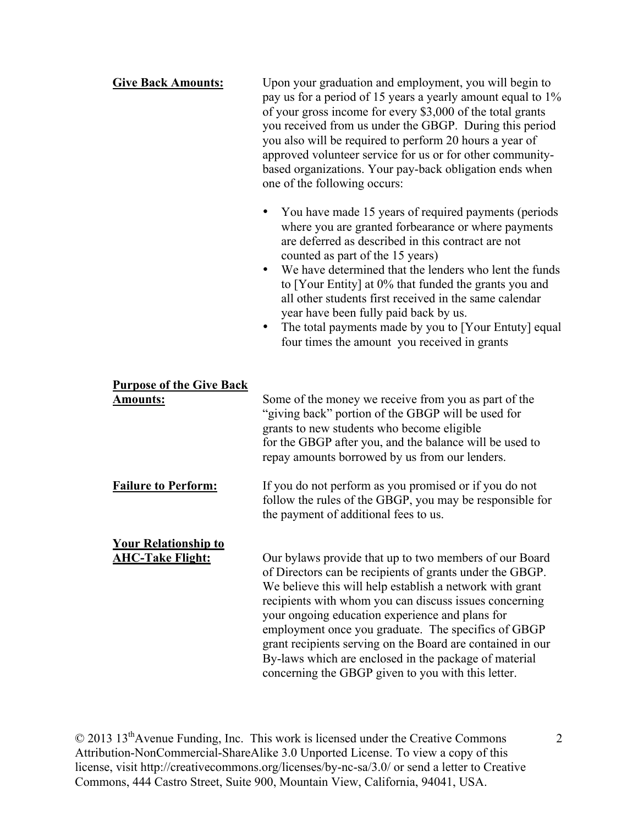| <b>Give Back Amounts:</b>                              | Upon your graduation and employment, you will begin to<br>pay us for a period of 15 years a yearly amount equal to 1%<br>of your gross income for every \$3,000 of the total grants<br>you received from us under the GBGP. During this period<br>you also will be required to perform 20 hours a year of<br>approved volunteer service for us or for other community-<br>based organizations. Your pay-back obligation ends when<br>one of the following occurs:                                                                                                   |  |
|--------------------------------------------------------|---------------------------------------------------------------------------------------------------------------------------------------------------------------------------------------------------------------------------------------------------------------------------------------------------------------------------------------------------------------------------------------------------------------------------------------------------------------------------------------------------------------------------------------------------------------------|--|
|                                                        | You have made 15 years of required payments (periods<br>$\bullet$<br>where you are granted forbearance or where payments<br>are deferred as described in this contract are not<br>counted as part of the 15 years)<br>We have determined that the lenders who lent the funds<br>$\bullet$<br>to [Your Entity] at 0% that funded the grants you and<br>all other students first received in the same calendar<br>year have been fully paid back by us.<br>The total payments made by you to [Your Entuty] equal<br>٠<br>four times the amount you received in grants |  |
| <b>Purpose of the Give Back</b><br><b>Amounts:</b>     | Some of the money we receive from you as part of the<br>"giving back" portion of the GBGP will be used for<br>grants to new students who become eligible<br>for the GBGP after you, and the balance will be used to<br>repay amounts borrowed by us from our lenders.                                                                                                                                                                                                                                                                                               |  |
| <b>Failure to Perform:</b>                             | If you do not perform as you promised or if you do not<br>follow the rules of the GBGP, you may be responsible for<br>the payment of additional fees to us.                                                                                                                                                                                                                                                                                                                                                                                                         |  |
| <b>Your Relationship to</b><br><b>AHC-Take Flight:</b> | Our bylaws provide that up to two members of our Board<br>of Directors can be recipients of grants under the GBGP.<br>We believe this will help establish a network with grant<br>recipients with whom you can discuss issues concerning<br>your ongoing education experience and plans for<br>employment once you graduate. The specifics of GBGP<br>grant recipients serving on the Board are contained in our<br>By-laws which are enclosed in the package of material<br>concerning the GBGP given to you with this letter.                                     |  |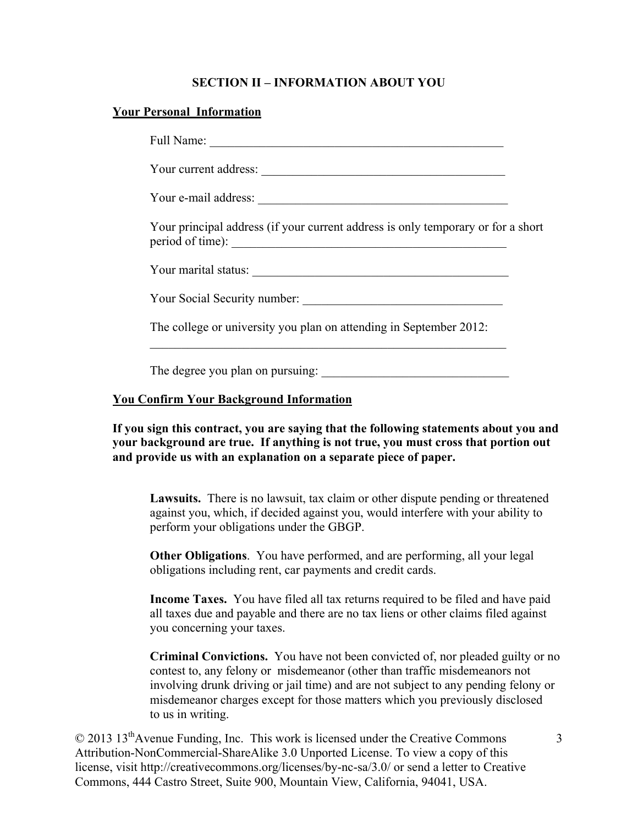## **SECTION II – INFORMATION ABOUT YOU**

### **Your Personal Information**

| Your principal address (if your current address is only temporary or for a short<br>period of time): |  |  |
|------------------------------------------------------------------------------------------------------|--|--|
|                                                                                                      |  |  |
| Your Social Security number:                                                                         |  |  |
| The college or university you plan on attending in September 2012:                                   |  |  |
|                                                                                                      |  |  |
| The degree you plan on pursuing:                                                                     |  |  |

## **You Confirm Your Background Information**

**If you sign this contract, you are saying that the following statements about you and your background are true. If anything is not true, you must cross that portion out and provide us with an explanation on a separate piece of paper.**

**Lawsuits.** There is no lawsuit, tax claim or other dispute pending or threatened against you, which, if decided against you, would interfere with your ability to perform your obligations under the GBGP.

**Other Obligations**. You have performed, and are performing, all your legal obligations including rent, car payments and credit cards.

**Income Taxes.** You have filed all tax returns required to be filed and have paid all taxes due and payable and there are no tax liens or other claims filed against you concerning your taxes.

**Criminal Convictions.** You have not been convicted of, nor pleaded guilty or no contest to, any felony or misdemeanor (other than traffic misdemeanors not involving drunk driving or jail time) and are not subject to any pending felony or misdemeanor charges except for those matters which you previously disclosed to us in writing.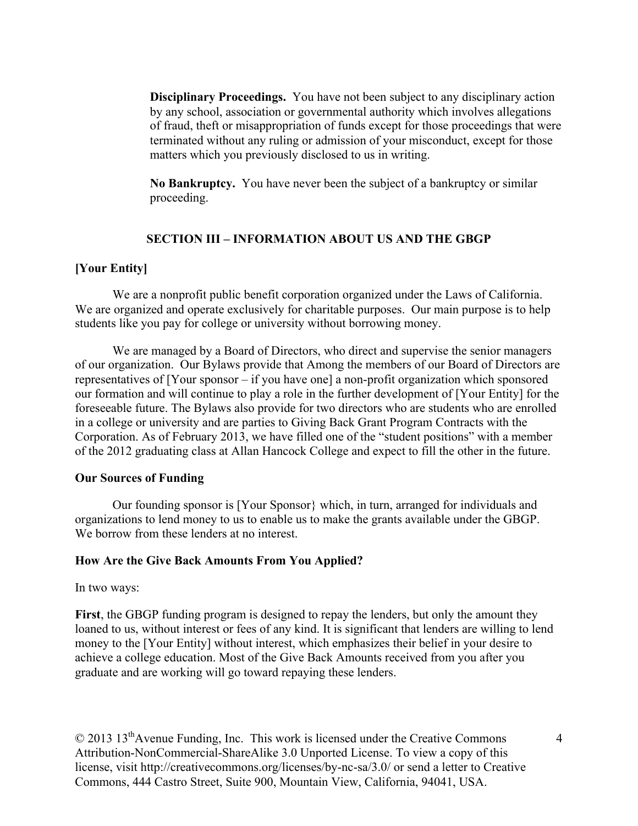**Disciplinary Proceedings.** You have not been subject to any disciplinary action by any school, association or governmental authority which involves allegations of fraud, theft or misappropriation of funds except for those proceedings that were terminated without any ruling or admission of your misconduct, except for those matters which you previously disclosed to us in writing.

**No Bankruptcy.** You have never been the subject of a bankruptcy or similar proceeding.

## **SECTION III – INFORMATION ABOUT US AND THE GBGP**

### **[Your Entity]**

We are a nonprofit public benefit corporation organized under the Laws of California. We are organized and operate exclusively for charitable purposes. Our main purpose is to help students like you pay for college or university without borrowing money.

We are managed by a Board of Directors, who direct and supervise the senior managers of our organization. Our Bylaws provide that Among the members of our Board of Directors are representatives of [Your sponsor – if you have one] a non-profit organization which sponsored our formation and will continue to play a role in the further development of [Your Entity] for the foreseeable future. The Bylaws also provide for two directors who are students who are enrolled in a college or university and are parties to Giving Back Grant Program Contracts with the Corporation. As of February 2013, we have filled one of the "student positions" with a member of the 2012 graduating class at Allan Hancock College and expect to fill the other in the future.

#### **Our Sources of Funding**

Our founding sponsor is [Your Sponsor} which, in turn, arranged for individuals and organizations to lend money to us to enable us to make the grants available under the GBGP. We borrow from these lenders at no interest.

#### **How Are the Give Back Amounts From You Applied?**

#### In two ways:

**First**, the GBGP funding program is designed to repay the lenders, but only the amount they loaned to us, without interest or fees of any kind. It is significant that lenders are willing to lend money to the [Your Entity] without interest, which emphasizes their belief in your desire to achieve a college education. Most of the Give Back Amounts received from you after you graduate and are working will go toward repaying these lenders.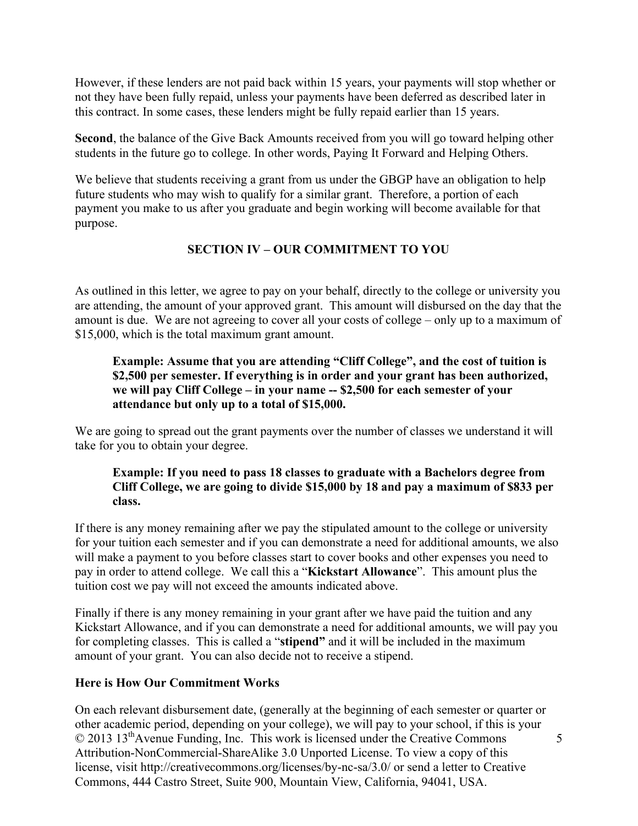However, if these lenders are not paid back within 15 years, your payments will stop whether or not they have been fully repaid, unless your payments have been deferred as described later in this contract. In some cases, these lenders might be fully repaid earlier than 15 years.

**Second**, the balance of the Give Back Amounts received from you will go toward helping other students in the future go to college. In other words, Paying It Forward and Helping Others.

We believe that students receiving a grant from us under the GBGP have an obligation to help future students who may wish to qualify for a similar grant. Therefore, a portion of each payment you make to us after you graduate and begin working will become available for that purpose.

# **SECTION IV – OUR COMMITMENT TO YOU**

As outlined in this letter, we agree to pay on your behalf, directly to the college or university you are attending, the amount of your approved grant. This amount will disbursed on the day that the amount is due. We are not agreeing to cover all your costs of college – only up to a maximum of \$15,000, which is the total maximum grant amount.

## **Example: Assume that you are attending "Cliff College", and the cost of tuition is \$2,500 per semester. If everything is in order and your grant has been authorized, we will pay Cliff College – in your name -- \$2,500 for each semester of your attendance but only up to a total of \$15,000.**

We are going to spread out the grant payments over the number of classes we understand it will take for you to obtain your degree.

## **Example: If you need to pass 18 classes to graduate with a Bachelors degree from Cliff College, we are going to divide \$15,000 by 18 and pay a maximum of \$833 per class.**

If there is any money remaining after we pay the stipulated amount to the college or university for your tuition each semester and if you can demonstrate a need for additional amounts, we also will make a payment to you before classes start to cover books and other expenses you need to pay in order to attend college. We call this a "**Kickstart Allowance**". This amount plus the tuition cost we pay will not exceed the amounts indicated above.

Finally if there is any money remaining in your grant after we have paid the tuition and any Kickstart Allowance, and if you can demonstrate a need for additional amounts, we will pay you for completing classes. This is called a "**stipend"** and it will be included in the maximum amount of your grant. You can also decide not to receive a stipend.

## **Here is How Our Commitment Works**

© 2013 13thAvenue Funding, Inc. This work is licensed under the Creative Commons Attribution-NonCommercial-ShareAlike 3.0 Unported License. To view a copy of this license, visit http://creativecommons.org/licenses/by-nc-sa/3.0/ or send a letter to Creative Commons, 444 Castro Street, Suite 900, Mountain View, California, 94041, USA. 5 On each relevant disbursement date, (generally at the beginning of each semester or quarter or other academic period, depending on your college), we will pay to your school, if this is your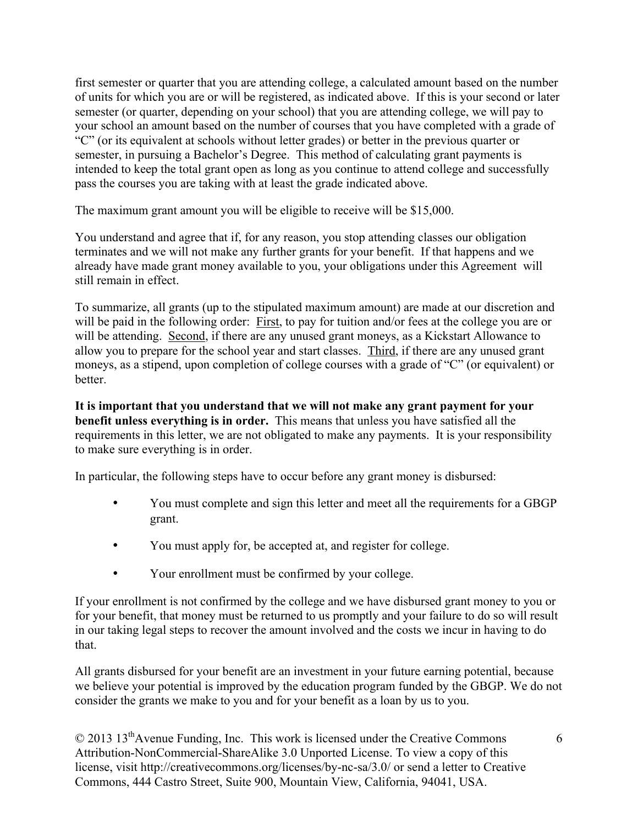first semester or quarter that you are attending college, a calculated amount based on the number of units for which you are or will be registered, as indicated above. If this is your second or later semester (or quarter, depending on your school) that you are attending college, we will pay to your school an amount based on the number of courses that you have completed with a grade of "C" (or its equivalent at schools without letter grades) or better in the previous quarter or semester, in pursuing a Bachelor's Degree. This method of calculating grant payments is intended to keep the total grant open as long as you continue to attend college and successfully pass the courses you are taking with at least the grade indicated above.

The maximum grant amount you will be eligible to receive will be \$15,000.

You understand and agree that if, for any reason, you stop attending classes our obligation terminates and we will not make any further grants for your benefit. If that happens and we already have made grant money available to you, your obligations under this Agreement will still remain in effect.

To summarize, all grants (up to the stipulated maximum amount) are made at our discretion and will be paid in the following order: First, to pay for tuition and/or fees at the college you are or will be attending. Second, if there are any unused grant moneys, as a Kickstart Allowance to allow you to prepare for the school year and start classes. Third, if there are any unused grant moneys, as a stipend, upon completion of college courses with a grade of "C" (or equivalent) or better.

**It is important that you understand that we will not make any grant payment for your benefit unless everything is in order.** This means that unless you have satisfied all the requirements in this letter, we are not obligated to make any payments. It is your responsibility to make sure everything is in order.

In particular, the following steps have to occur before any grant money is disbursed:

- You must complete and sign this letter and meet all the requirements for a GBGP grant.
- You must apply for, be accepted at, and register for college.
- Your enrollment must be confirmed by your college.

If your enrollment is not confirmed by the college and we have disbursed grant money to you or for your benefit, that money must be returned to us promptly and your failure to do so will result in our taking legal steps to recover the amount involved and the costs we incur in having to do that.

All grants disbursed for your benefit are an investment in your future earning potential, because we believe your potential is improved by the education program funded by the GBGP. We do not consider the grants we make to you and for your benefit as a loan by us to you.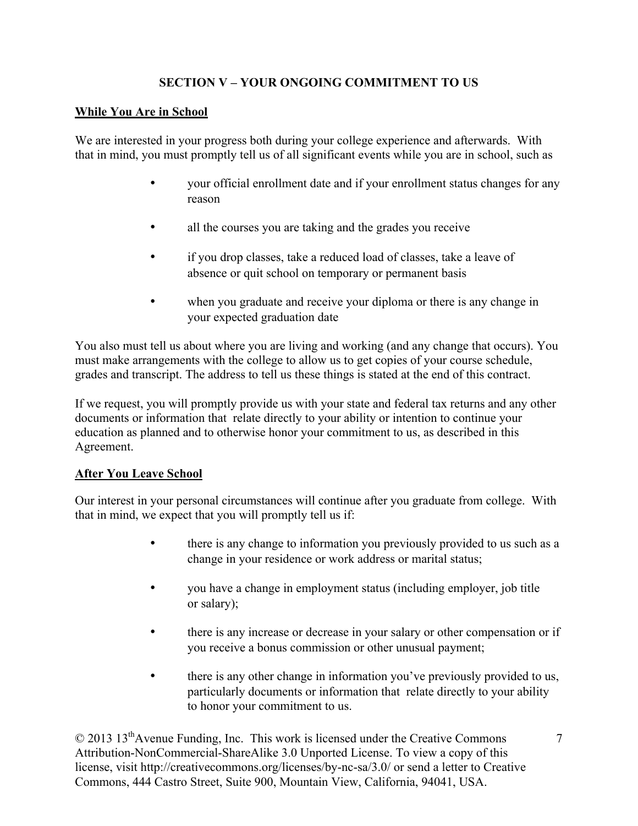# **SECTION V – YOUR ONGOING COMMITMENT TO US**

## **While You Are in School**

We are interested in your progress both during your college experience and afterwards. With that in mind, you must promptly tell us of all significant events while you are in school, such as

- your official enrollment date and if your enrollment status changes for any reason
- all the courses you are taking and the grades you receive
- if you drop classes, take a reduced load of classes, take a leave of absence or quit school on temporary or permanent basis
- when you graduate and receive your diploma or there is any change in your expected graduation date

You also must tell us about where you are living and working (and any change that occurs). You must make arrangements with the college to allow us to get copies of your course schedule, grades and transcript. The address to tell us these things is stated at the end of this contract.

If we request, you will promptly provide us with your state and federal tax returns and any other documents or information that relate directly to your ability or intention to continue your education as planned and to otherwise honor your commitment to us, as described in this Agreement.

## **After You Leave School**

Our interest in your personal circumstances will continue after you graduate from college. With that in mind, we expect that you will promptly tell us if:

- there is any change to information you previously provided to us such as a change in your residence or work address or marital status;
- you have a change in employment status (including employer, job title or salary);
- there is any increase or decrease in your salary or other compensation or if you receive a bonus commission or other unusual payment;
- there is any other change in information you've previously provided to us, particularly documents or information that relate directly to your ability to honor your commitment to us.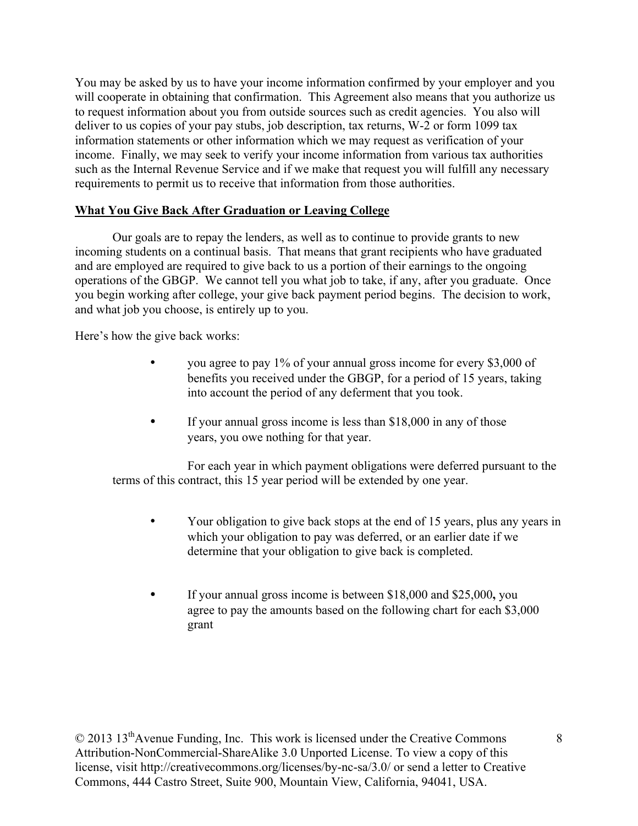You may be asked by us to have your income information confirmed by your employer and you will cooperate in obtaining that confirmation. This Agreement also means that you authorize us to request information about you from outside sources such as credit agencies. You also will deliver to us copies of your pay stubs, job description, tax returns, W-2 or form 1099 tax information statements or other information which we may request as verification of your income. Finally, we may seek to verify your income information from various tax authorities such as the Internal Revenue Service and if we make that request you will fulfill any necessary requirements to permit us to receive that information from those authorities.

## **What You Give Back After Graduation or Leaving College**

Our goals are to repay the lenders, as well as to continue to provide grants to new incoming students on a continual basis. That means that grant recipients who have graduated and are employed are required to give back to us a portion of their earnings to the ongoing operations of the GBGP. We cannot tell you what job to take, if any, after you graduate. Once you begin working after college, your give back payment period begins. The decision to work, and what job you choose, is entirely up to you.

Here's how the give back works:

- you agree to pay 1% of your annual gross income for every \$3,000 of benefits you received under the GBGP, for a period of 15 years, taking into account the period of any deferment that you took.
- If your annual gross income is less than \$18,000 in any of those years, you owe nothing for that year.

For each year in which payment obligations were deferred pursuant to the terms of this contract, this 15 year period will be extended by one year.

- Your obligation to give back stops at the end of 15 years, plus any years in which your obligation to pay was deferred, or an earlier date if we determine that your obligation to give back is completed.
- If your annual gross income is between \$18,000 and \$25,000**,** you agree to pay the amounts based on the following chart for each \$3,000 grant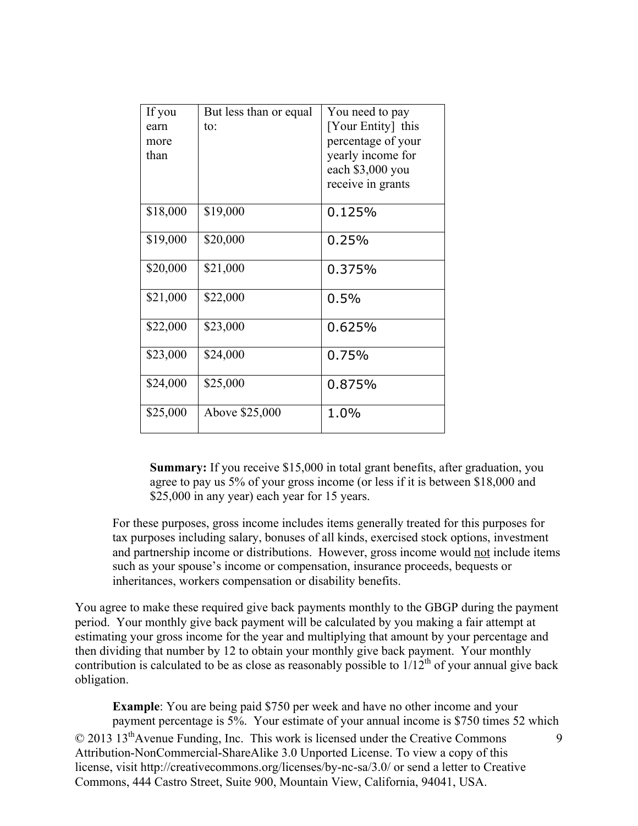| If you   | But less than or equal | You need to pay    |
|----------|------------------------|--------------------|
| earn     | to:                    | [Your Entity] this |
| more     |                        | percentage of your |
| than     |                        | yearly income for  |
|          |                        | each \$3,000 you   |
|          |                        | receive in grants  |
| \$18,000 | \$19,000               | 0.125%             |
| \$19,000 | \$20,000               | 0.25%              |
| \$20,000 | \$21,000               | 0.375%             |
| \$21,000 | \$22,000               | 0.5%               |
| \$22,000 | \$23,000               | 0.625%             |
| \$23,000 | \$24,000               | 0.75%              |
| \$24,000 | \$25,000               | 0.875%             |
| \$25,000 | Above \$25,000         | 1.0%               |

**Summary:** If you receive \$15,000 in total grant benefits, after graduation, you agree to pay us 5% of your gross income (or less if it is between \$18,000 and \$25,000 in any year) each year for 15 years.

For these purposes, gross income includes items generally treated for this purposes for tax purposes including salary, bonuses of all kinds, exercised stock options, investment and partnership income or distributions. However, gross income would not include items such as your spouse's income or compensation, insurance proceeds, bequests or inheritances, workers compensation or disability benefits.

You agree to make these required give back payments monthly to the GBGP during the payment period. Your monthly give back payment will be calculated by you making a fair attempt at estimating your gross income for the year and multiplying that amount by your percentage and then dividing that number by 12 to obtain your monthly give back payment. Your monthly contribution is calculated to be as close as reasonably possible to  $1/12^{th}$  of your annual give back obligation.

© 2013 13thAvenue Funding, Inc. This work is licensed under the Creative Commons Attribution-NonCommercial-ShareAlike 3.0 Unported License. To view a copy of this license, visit http://creativecommons.org/licenses/by-nc-sa/3.0/ or send a letter to Creative Commons, 444 Castro Street, Suite 900, Mountain View, California, 94041, USA.  $\mathbf Q$ **Example**: You are being paid \$750 per week and have no other income and your payment percentage is 5%. Your estimate of your annual income is \$750 times 52 which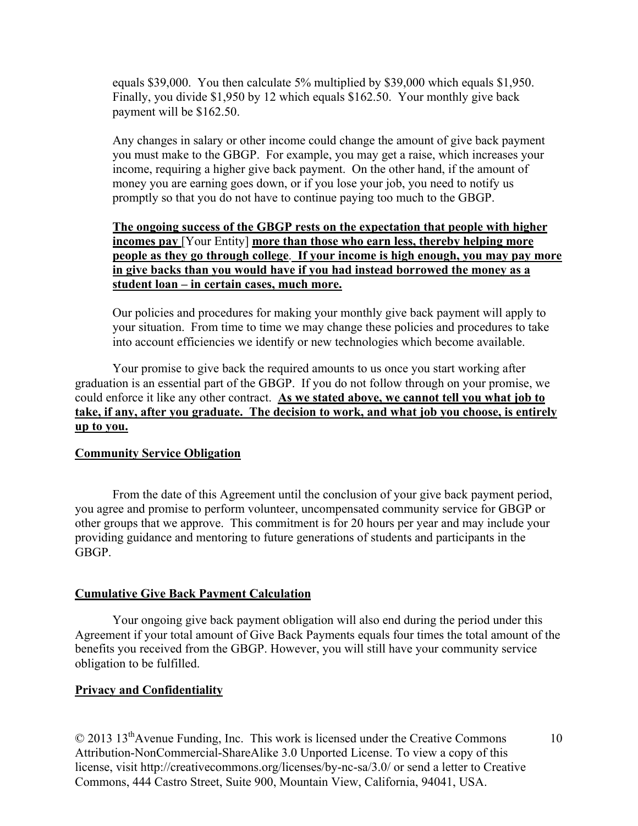equals \$39,000. You then calculate 5% multiplied by \$39,000 which equals \$1,950. Finally, you divide \$1,950 by 12 which equals \$162.50. Your monthly give back payment will be \$162.50.

Any changes in salary or other income could change the amount of give back payment you must make to the GBGP. For example, you may get a raise, which increases your income, requiring a higher give back payment. On the other hand, if the amount of money you are earning goes down, or if you lose your job, you need to notify us promptly so that you do not have to continue paying too much to the GBGP.

## **The ongoing success of the GBGP rests on the expectation that people with higher incomes pay** [Your Entity] **more than those who earn less, thereby helping more people as they go through college**. **If your income is high enough, you may pay more in give backs than you would have if you had instead borrowed the money as a student loan – in certain cases, much more.**

Our policies and procedures for making your monthly give back payment will apply to your situation. From time to time we may change these policies and procedures to take into account efficiencies we identify or new technologies which become available.

Your promise to give back the required amounts to us once you start working after graduation is an essential part of the GBGP. If you do not follow through on your promise, we could enforce it like any other contract. As we stated above, we cannot tell you what job to **take, if any, after you graduate. The decision to work, and what job you choose, is entirely up to you.** 

### **Community Service Obligation**

From the date of this Agreement until the conclusion of your give back payment period, you agree and promise to perform volunteer, uncompensated community service for GBGP or other groups that we approve. This commitment is for 20 hours per year and may include your providing guidance and mentoring to future generations of students and participants in the GBGP.

### **Cumulative Give Back Payment Calculation**

Your ongoing give back payment obligation will also end during the period under this Agreement if your total amount of Give Back Payments equals four times the total amount of the benefits you received from the GBGP. However, you will still have your community service obligation to be fulfilled.

### **Privacy and Confidentiality**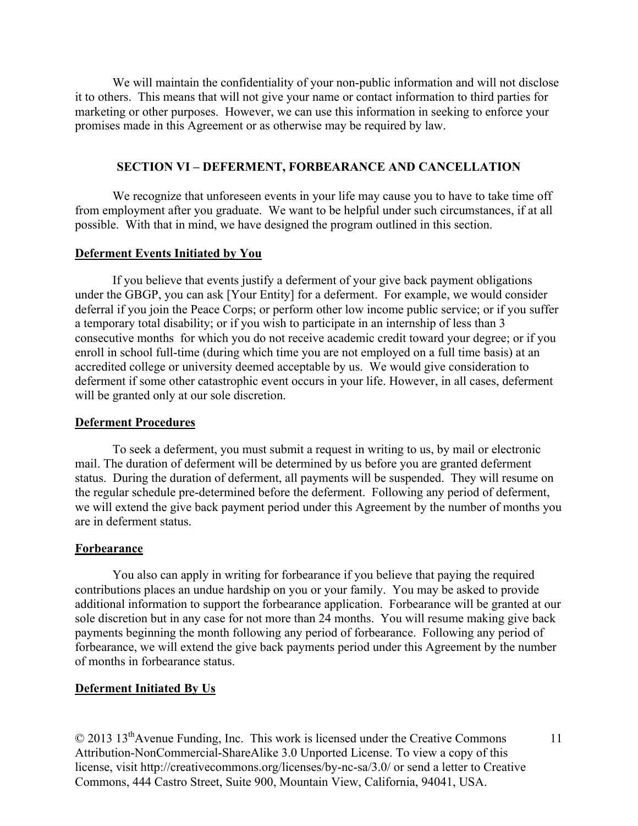We will maintain the confidentiality of your non-public information and will not disclose it to others. This means that will not give your name or contact information to third parties for marketing or other purposes. However, we can use this information in seeking to enforce your promises made in this Agreement or as otherwise may be required by law.

### **SECTION VI – DEFERMENT, FORBEARANCE AND CANCELLATION**

We recognize that unforeseen events in your life may cause you to have to take time off from employment after you graduate. We want to be helpful under such circumstances, if at all possible. With that in mind, we have designed the program outlined in this section.

#### **Deferment Events Initiated by You**

If you believe that events justify a deferment of your give back payment obligations under the GBGP, you can ask [Your Entity] for a deferment. For example, we would consider deferral if you join the Peace Corps; or perform other low income public service; or if you suffer a temporary total disability; or if you wish to participate in an internship of less than 3 consecutive months for which you do not receive academic credit toward your degree; or if you enroll in school full-time (during which time you are not employed on a full time basis) at an accredited college or university deemed acceptable by us. We would give consideration to deferment if some other catastrophic event occurs in your life. However, in all cases, deferment will be granted only at our sole discretion.

#### **Deferment Procedures**

To seek a deferment, you must submit a request in writing to us, by mail or electronic mail. The duration of deferment will be determined by us before you are granted deferment status. During the duration of deferment, all payments will be suspended. They will resume on the regular schedule pre-determined before the deferment. Following any period of deferment, we will extend the give back payment period under this Agreement by the number of months you are in deferment status.

#### **Forbearance**

You also can apply in writing for forbearance if you believe that paying the required contributions places an undue hardship on you or your family. You may be asked to provide additional information to support the forbearance application. Forbearance will be granted at our sole discretion but in any case for not more than 24 months. You will resume making give back payments beginning the month following any period of forbearance. Following any period of forbearance, we will extend the give back payments period under this Agreement by the number of months in forbearance status.

### **Deferment Initiated By Us**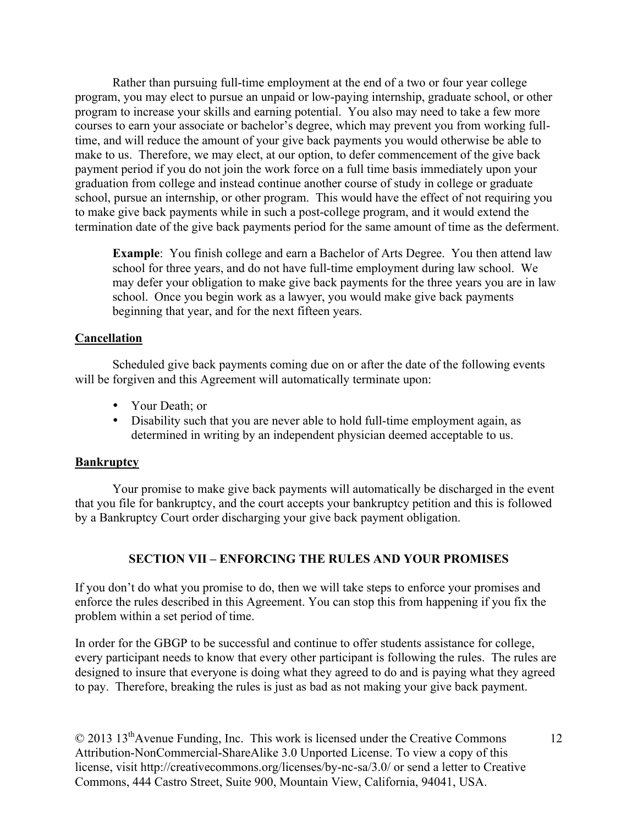Rather than pursuing full-time employment at the end of a two or four year college program, you may elect to pursue an unpaid or low-paying internship, graduate school, or other program to increase your skills and earning potential. You also may need to take a few more courses to earn your associate or bachelor's degree, which may prevent you from working fulltime, and will reduce the amount of your give back payments you would otherwise be able to make to us. Therefore, we may elect, at our option, to defer commencement of the give back payment period if you do not join the work force on a full time basis immediately upon your graduation from college and instead continue another course of study in college or graduate school, pursue an internship, or other program. This would have the effect of not requiring you to make give back payments while in such a post-college program, and it would extend the termination date of the give back payments period for the same amount of time as the deferment.

**Example**: You finish college and earn a Bachelor of Arts Degree. You then attend law school for three years, and do not have full-time employment during law school. We may defer your obligation to make give back payments for the three years you are in law school. Once you begin work as a lawyer, you would make give back payments beginning that year, and for the next fifteen years.

### **Cancellation**

Scheduled give back payments coming due on or after the date of the following events will be forgiven and this Agreement will automatically terminate upon:

- Your Death; or
- Disability such that you are never able to hold full-time employment again, as determined in writing by an independent physician deemed acceptable to us.

### **Bankruptcy**

Your promise to make give back payments will automatically be discharged in the event that you file for bankruptcy, and the court accepts your bankruptcy petition and this is followed by a Bankruptcy Court order discharging your give back payment obligation.

### **SECTION VII – ENFORCING THE RULES AND YOUR PROMISES**

If you don't do what you promise to do, then we will take steps to enforce your promises and enforce the rules described in this Agreement. You can stop this from happening if you fix the problem within a set period of time.

In order for the GBGP to be successful and continue to offer students assistance for college, every participant needs to know that every other participant is following the rules. The rules are designed to insure that everyone is doing what they agreed to do and is paying what they agreed to pay. Therefore, breaking the rules is just as bad as not making your give back payment.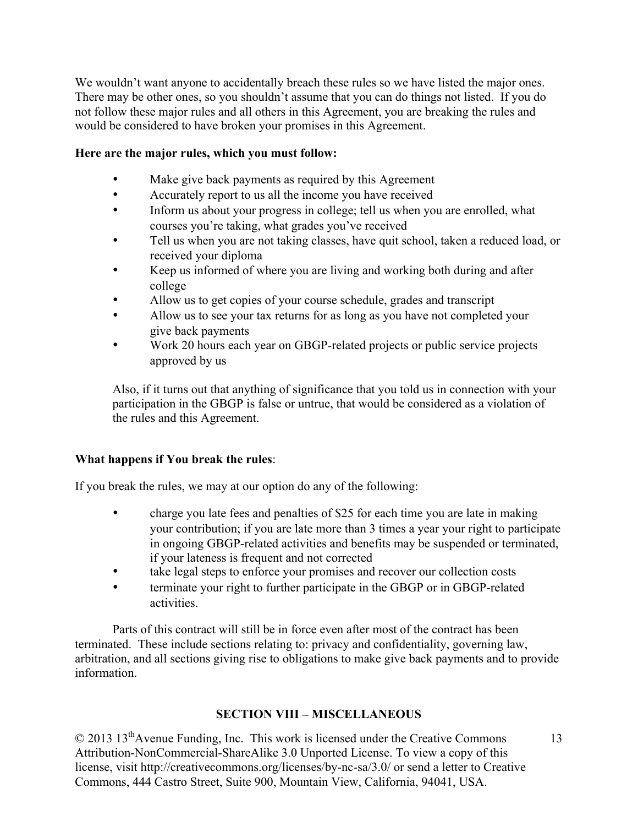We wouldn't want anyone to accidentally breach these rules so we have listed the major ones. There may be other ones, so you shouldn't assume that you can do things not listed. If you do not follow these major rules and all others in this Agreement, you are breaking the rules and would be considered to have broken your promises in this Agreement.

## **Here are the major rules, which you must follow:**

- Make give back payments as required by this Agreement
- Accurately report to us all the income you have received
- Inform us about your progress in college; tell us when you are enrolled, what courses you're taking, what grades you've received
- Tell us when you are not taking classes, have quit school, taken a reduced load, or received your diploma
- Keep us informed of where you are living and working both during and after college
- Allow us to get copies of your course schedule, grades and transcript
- Allow us to see your tax returns for as long as you have not completed your give back payments
- Work 20 hours each year on GBGP-related projects or public service projects approved by us

Also, if it turns out that anything of significance that you told us in connection with your participation in the GBGP is false or untrue, that would be considered as a violation of the rules and this Agreement.

## **What happens if You break the rules**:

If you break the rules, we may at our option do any of the following:

- charge you late fees and penalties of \$25 for each time you are late in making your contribution; if you are late more than 3 times a year your right to participate in ongoing GBGP-related activities and benefits may be suspended or terminated, if your lateness is frequent and not corrected
- take legal steps to enforce your promises and recover our collection costs
- terminate your right to further participate in the GBGP or in GBGP-related activities.

Parts of this contract will still be in force even after most of the contract has been terminated. These include sections relating to: privacy and confidentiality, governing law, arbitration, and all sections giving rise to obligations to make give back payments and to provide information.

# **SECTION VIII – MISCELLANEOUS**

© 2013 13thAvenue Funding, Inc. This work is licensed under the Creative Commons Attribution-NonCommercial-ShareAlike 3.0 Unported License. To view a copy of this license, visit http://creativecommons.org/licenses/by-nc-sa/3.0/ or send a letter to Creative Commons, 444 Castro Street, Suite 900, Mountain View, California, 94041, USA.

13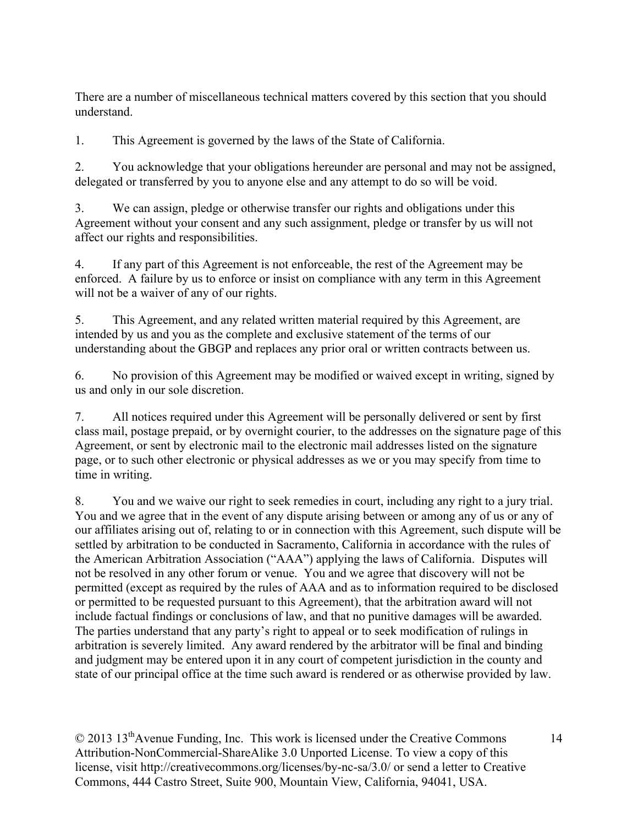There are a number of miscellaneous technical matters covered by this section that you should understand.

1. This Agreement is governed by the laws of the State of California.

2. You acknowledge that your obligations hereunder are personal and may not be assigned, delegated or transferred by you to anyone else and any attempt to do so will be void.

3. We can assign, pledge or otherwise transfer our rights and obligations under this Agreement without your consent and any such assignment, pledge or transfer by us will not affect our rights and responsibilities.

4. If any part of this Agreement is not enforceable, the rest of the Agreement may be enforced. A failure by us to enforce or insist on compliance with any term in this Agreement will not be a waiver of any of our rights.

5. This Agreement, and any related written material required by this Agreement, are intended by us and you as the complete and exclusive statement of the terms of our understanding about the GBGP and replaces any prior oral or written contracts between us.

6. No provision of this Agreement may be modified or waived except in writing, signed by us and only in our sole discretion.

7. All notices required under this Agreement will be personally delivered or sent by first class mail, postage prepaid, or by overnight courier, to the addresses on the signature page of this Agreement, or sent by electronic mail to the electronic mail addresses listed on the signature page, or to such other electronic or physical addresses as we or you may specify from time to time in writing.

8. You and we waive our right to seek remedies in court, including any right to a jury trial. You and we agree that in the event of any dispute arising between or among any of us or any of our affiliates arising out of, relating to or in connection with this Agreement, such dispute will be settled by arbitration to be conducted in Sacramento, California in accordance with the rules of the American Arbitration Association ("AAA") applying the laws of California. Disputes will not be resolved in any other forum or venue. You and we agree that discovery will not be permitted (except as required by the rules of AAA and as to information required to be disclosed or permitted to be requested pursuant to this Agreement), that the arbitration award will not include factual findings or conclusions of law, and that no punitive damages will be awarded. The parties understand that any party's right to appeal or to seek modification of rulings in arbitration is severely limited. Any award rendered by the arbitrator will be final and binding and judgment may be entered upon it in any court of competent jurisdiction in the county and state of our principal office at the time such award is rendered or as otherwise provided by law.